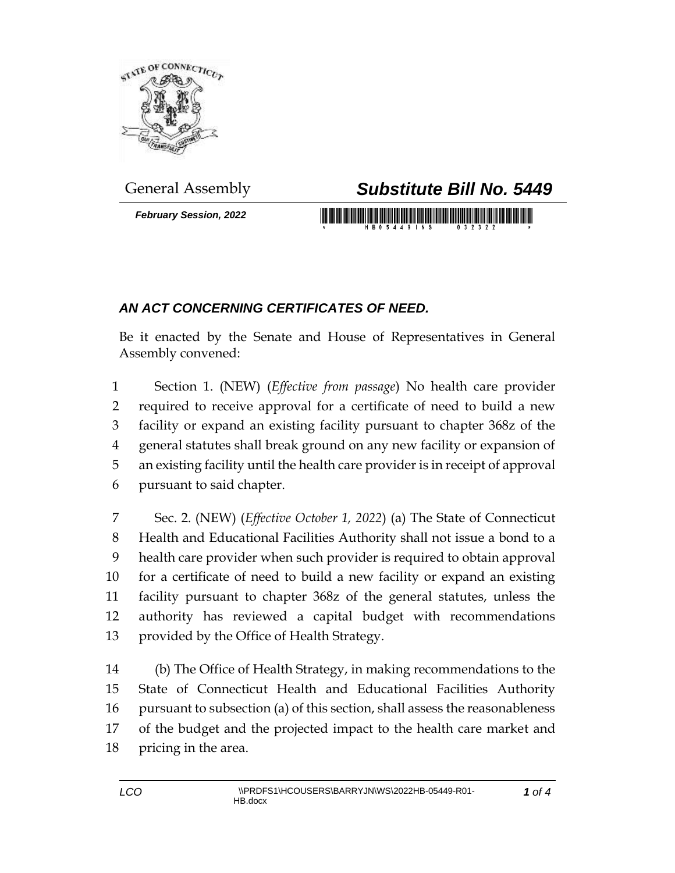

*February Session, 2022*

## General Assembly *Substitute Bill No. 5449*

## *AN ACT CONCERNING CERTIFICATES OF NEED.*

Be it enacted by the Senate and House of Representatives in General Assembly convened:

 Section 1. (NEW) (*Effective from passage*) No health care provider required to receive approval for a certificate of need to build a new facility or expand an existing facility pursuant to chapter 368z of the general statutes shall break ground on any new facility or expansion of an existing facility until the health care provider is in receipt of approval pursuant to said chapter.

 Sec. 2. (NEW) (*Effective October 1, 2022*) (a) The State of Connecticut Health and Educational Facilities Authority shall not issue a bond to a health care provider when such provider is required to obtain approval for a certificate of need to build a new facility or expand an existing facility pursuant to chapter 368z of the general statutes, unless the authority has reviewed a capital budget with recommendations provided by the Office of Health Strategy.

 (b) The Office of Health Strategy, in making recommendations to the State of Connecticut Health and Educational Facilities Authority pursuant to subsection (a) of this section, shall assess the reasonableness of the budget and the projected impact to the health care market and pricing in the area.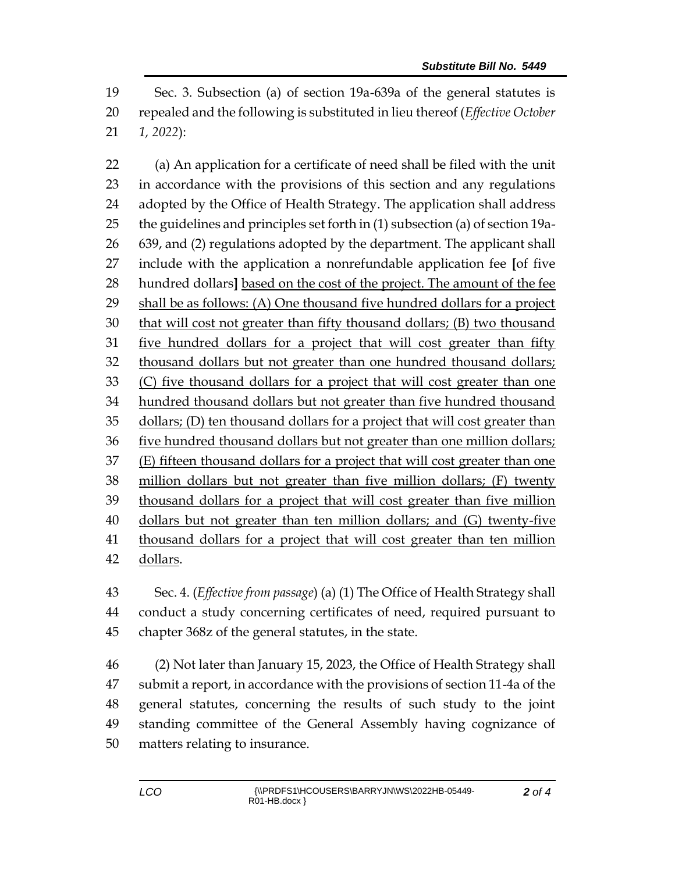Sec. 3. Subsection (a) of section 19a-639a of the general statutes is repealed and the following is substituted in lieu thereof (*Effective October 1, 2022*):

 (a) An application for a certificate of need shall be filed with the unit in accordance with the provisions of this section and any regulations adopted by the Office of Health Strategy. The application shall address the guidelines and principles set forth in (1) subsection (a) of section 19a- 639, and (2) regulations adopted by the department. The applicant shall include with the application a nonrefundable application fee **[**of five hundred dollars**]** based on the cost of the project. The amount of the fee shall be as follows: (A) One thousand five hundred dollars for a project that will cost not greater than fifty thousand dollars; (B) two thousand five hundred dollars for a project that will cost greater than fifty thousand dollars but not greater than one hundred thousand dollars; (C) five thousand dollars for a project that will cost greater than one hundred thousand dollars but not greater than five hundred thousand dollars; (D) ten thousand dollars for a project that will cost greater than five hundred thousand dollars but not greater than one million dollars; (E) fifteen thousand dollars for a project that will cost greater than one million dollars but not greater than five million dollars; (F) twenty thousand dollars for a project that will cost greater than five million dollars but not greater than ten million dollars; and (G) twenty-five thousand dollars for a project that will cost greater than ten million dollars.

 Sec. 4. (*Effective from passage*) (a) (1) The Office of Health Strategy shall conduct a study concerning certificates of need, required pursuant to chapter 368z of the general statutes, in the state.

 (2) Not later than January 15, 2023, the Office of Health Strategy shall submit a report, in accordance with the provisions of section 11-4a of the general statutes, concerning the results of such study to the joint standing committee of the General Assembly having cognizance of matters relating to insurance.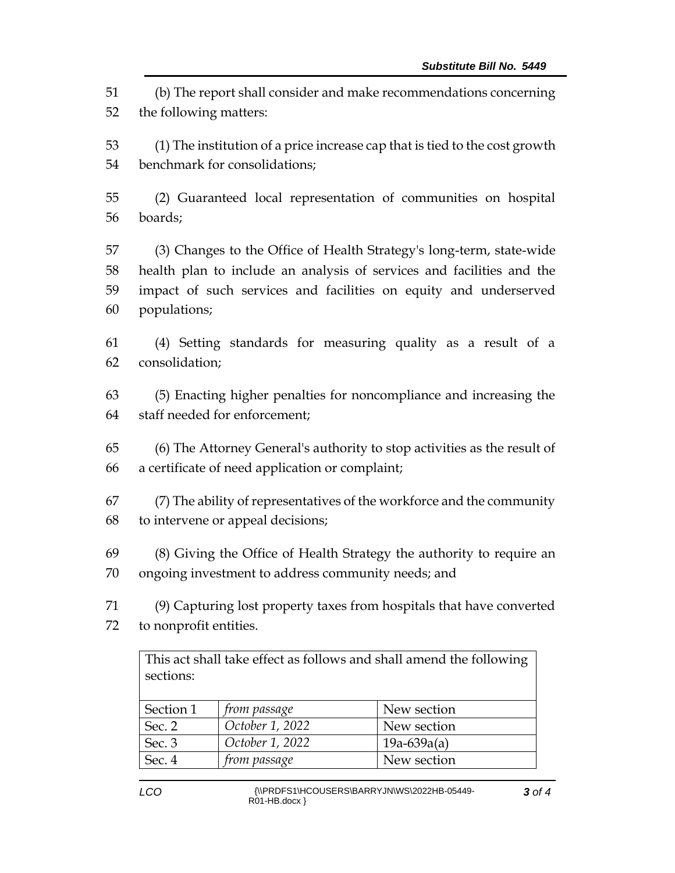(b) The report shall consider and make recommendations concerning the following matters:

 (1) The institution of a price increase cap that is tied to the cost growth benchmark for consolidations;

 (2) Guaranteed local representation of communities on hospital boards;

 (3) Changes to the Office of Health Strategy's long-term, state-wide health plan to include an analysis of services and facilities and the impact of such services and facilities on equity and underserved populations;

 (4) Setting standards for measuring quality as a result of a consolidation;

 (5) Enacting higher penalties for noncompliance and increasing the staff needed for enforcement;

 (6) The Attorney General's authority to stop activities as the result of a certificate of need application or complaint;

 (7) The ability of representatives of the workforce and the community to intervene or appeal decisions;

 (8) Giving the Office of Health Strategy the authority to require an ongoing investment to address community needs; and

 (9) Capturing lost property taxes from hospitals that have converted to nonprofit entities.

This act shall take effect as follows and shall amend the following sections:

| Section 1 | <i>from passage</i> | New section   |
|-----------|---------------------|---------------|
| Sec. $2$  | October 1, 2022     | New section   |
| Sec. 3    | October 1, 2022     | $19a-639a(a)$ |
| Sec. 4    | <i>from passage</i> | New section   |
|           |                     |               |